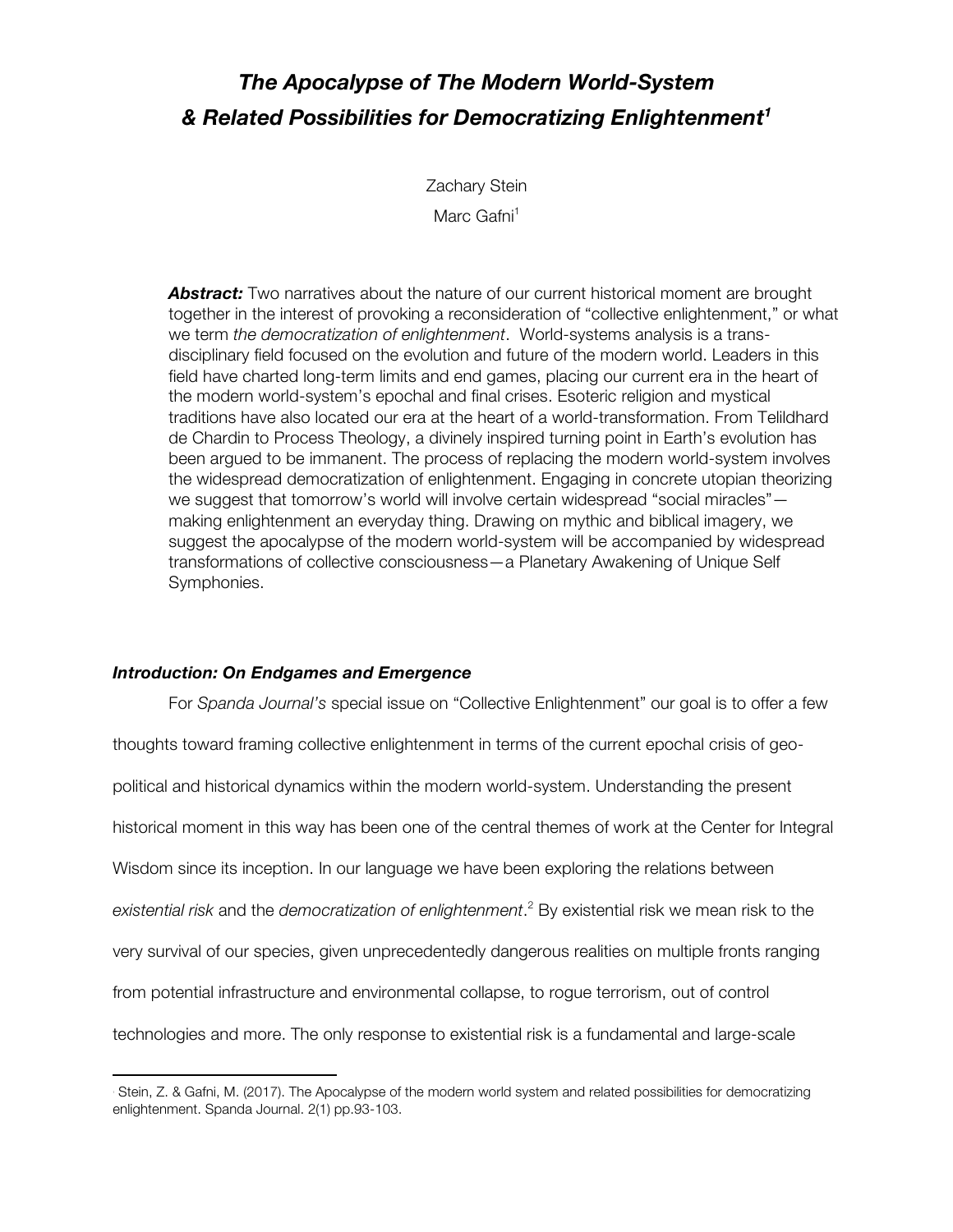## *The Apocalypse of The Modern World-System & Related Possibilities for Democratizing Enlightenment1*

Zachary Stein

Marc Gafni<sup>1</sup>

**Abstract:** Two narratives about the nature of our current historical moment are brought together in the interest of provoking a reconsideration of "collective enlightenment," or what we term *the democratization of enlightenment*. World-systems analysis is a transdisciplinary field focused on the evolution and future of the modern world. Leaders in this field have charted long-term limits and end games, placing our current era in the heart of the modern world-system's epochal and final crises. Esoteric religion and mystical traditions have also located our era at the heart of a world-transformation. From Telildhard de Chardin to Process Theology, a divinely inspired turning point in Earth's evolution has been argued to be immanent. The process of replacing the modern world-system involves the widespread democratization of enlightenment. Engaging in concrete utopian theorizing we suggest that tomorrow's world will involve certain widespread "social miracles" making enlightenment an everyday thing. Drawing on mythic and biblical imagery, we suggest the apocalypse of the modern world-system will be accompanied by widespread transformations of collective consciousness—a Planetary Awakening of Unique Self Symphonies.

## *Introduction: On Endgames and Emergence*

<u> 1989 - Johann Stein, markin film yn y breninn y breninn y breninn y breninn y breninn y breninn y breninn y b</u>

For *Spanda Journal's* special issue on "Collective Enlightenment" our goal is to offer a few thoughts toward framing collective enlightenment in terms of the current epochal crisis of geopolitical and historical dynamics within the modern world-system. Understanding the present historical moment in this way has been one of the central themes of work at the Center for Integral Wisdom since its inception. In our language we have been exploring the relations between *existential risk* and the *democratization of enlightenment*. <sup>2</sup> By existential risk we mean risk to the very survival of our species, given unprecedentedly dangerous realities on multiple fronts ranging from potential infrastructure and environmental collapse, to rogue terrorism, out of control technologies and more. The only response to existential risk is a fundamental and large-scale

Stein, Z. & Gafni, M. (2017). The Apocalypse of the modern world system and related possibilities for democratizing enlightenment. Spanda Journal. 2(1) pp.93-103.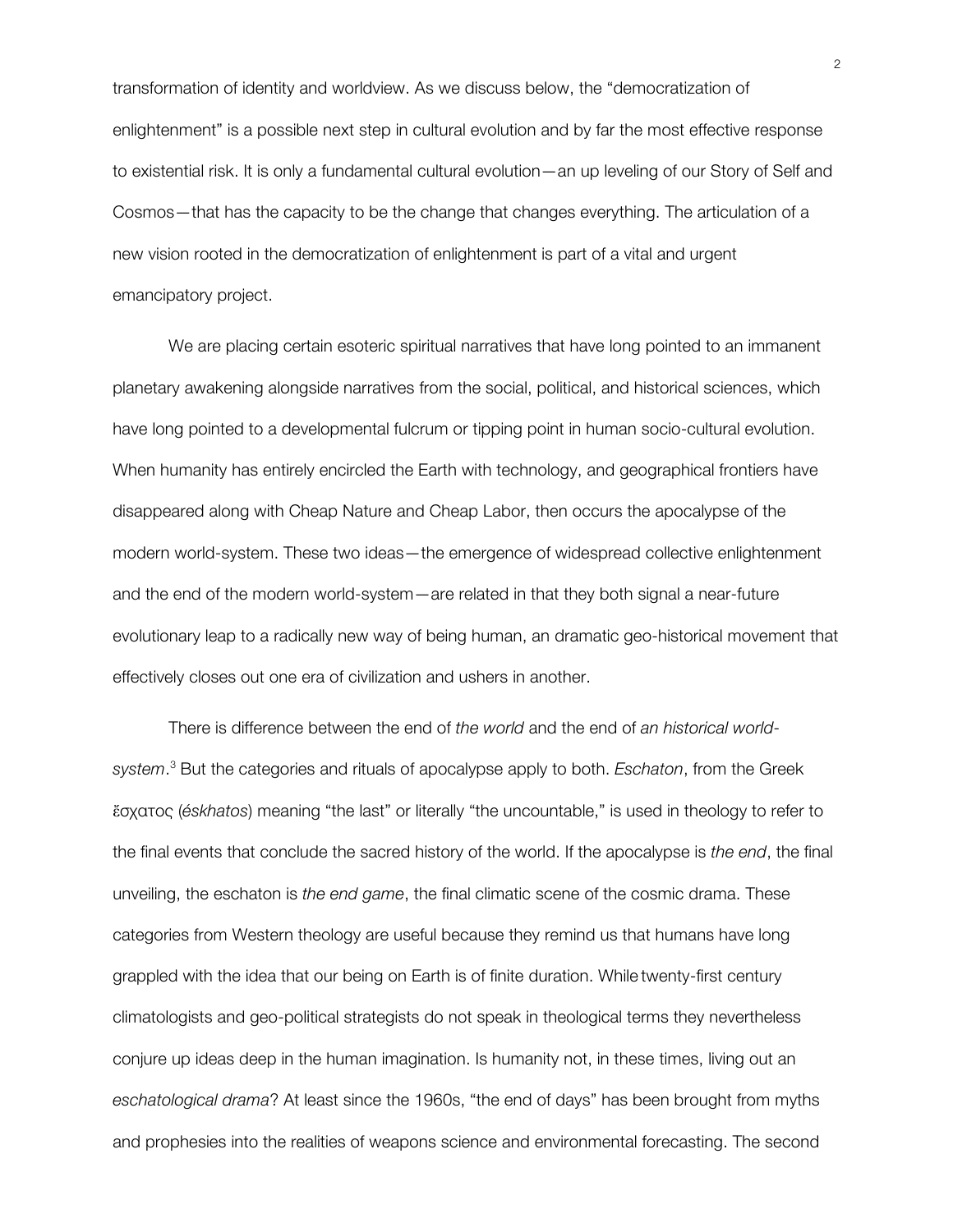transformation of identity and worldview. As we discuss below, the "democratization of enlightenment" is a possible next step in cultural evolution and by far the most effective response to existential risk. It is only a fundamental cultural evolution—an up leveling of our Story of Self and Cosmos—that has the capacity to be the change that changes everything. The articulation of a new vision rooted in the democratization of enlightenment is part of a vital and urgent emancipatory project.

We are placing certain esoteric spiritual narratives that have long pointed to an immanent planetary awakening alongside narratives from the social, political, and historical sciences, which have long pointed to a developmental fulcrum or tipping point in human socio-cultural evolution. When humanity has entirely encircled the Earth with technology, and geographical frontiers have disappeared along with Cheap Nature and Cheap Labor, then occurs the apocalypse of the modern world-system. These two ideas—the emergence of widespread collective enlightenment and the end of the modern world-system—are related in that they both signal a near-future evolutionary leap to a radically new way of being human, an dramatic geo-historical movement that effectively closes out one era of civilization and ushers in another.

There is difference between the end of *the world* and the end of *an historical worldsystem*. <sup>3</sup> But the categories and rituals of apocalypse apply to both. *Eschaton*, from the Greek ἔσχατος (*éskhatos*) meaning "the last" or literally "the uncountable," is used in theology to refer to the final events that conclude the sacred history of the world. If the apocalypse is *the end*, the final unveiling, the eschaton is *the end game*, the final climatic scene of the cosmic drama. These categories from Western theology are useful because they remind us that humans have long grappled with the idea that our being on Earth is of finite duration. While twenty-first century climatologists and geo-political strategists do not speak in theological terms they nevertheless conjure up ideas deep in the human imagination. Is humanity not, in these times, living out an *eschatological drama*? At least since the 1960s, "the end of days" has been brought from myths and prophesies into the realities of weapons science and environmental forecasting. The second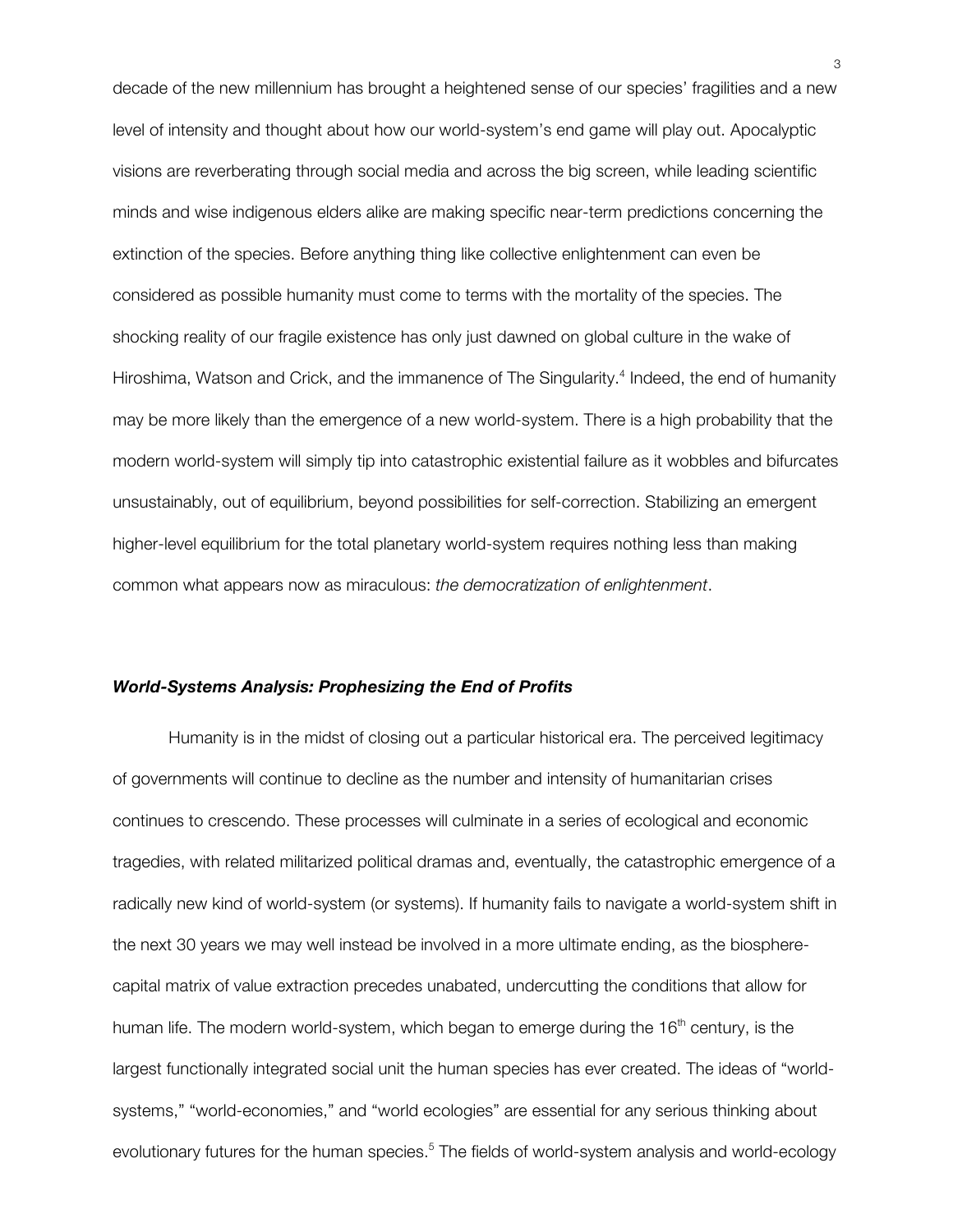decade of the new millennium has brought a heightened sense of our species' fragilities and a new level of intensity and thought about how our world-system's end game will play out. Apocalyptic visions are reverberating through social media and across the big screen, while leading scientific minds and wise indigenous elders alike are making specific near-term predictions concerning the extinction of the species. Before anything thing like collective enlightenment can even be considered as possible humanity must come to terms with the mortality of the species. The shocking reality of our fragile existence has only just dawned on global culture in the wake of Hiroshima, Watson and Crick, and the immanence of The Singularity.<sup>4</sup> Indeed, the end of humanity may be more likely than the emergence of a new world-system. There is a high probability that the modern world-system will simply tip into catastrophic existential failure as it wobbles and bifurcates unsustainably, out of equilibrium, beyond possibilities for self-correction. Stabilizing an emergent higher-level equilibrium for the total planetary world-system requires nothing less than making common what appears now as miraculous: *the democratization of enlightenment*.

## *World-Systems Analysis: Prophesizing the End of Profits*

Humanity is in the midst of closing out a particular historical era. The perceived legitimacy of governments will continue to decline as the number and intensity of humanitarian crises continues to crescendo. These processes will culminate in a series of ecological and economic tragedies, with related militarized political dramas and, eventually, the catastrophic emergence of a radically new kind of world-system (or systems). If humanity fails to navigate a world-system shift in the next 30 years we may well instead be involved in a more ultimate ending, as the biospherecapital matrix of value extraction precedes unabated, undercutting the conditions that allow for human life. The modern world-system, which began to emerge during the 16<sup>th</sup> century, is the largest functionally integrated social unit the human species has ever created. The ideas of "worldsystems," "world-economies," and "world ecologies" are essential for any serious thinking about evolutionary futures for the human species.<sup>5</sup> The fields of world-system analysis and world-ecology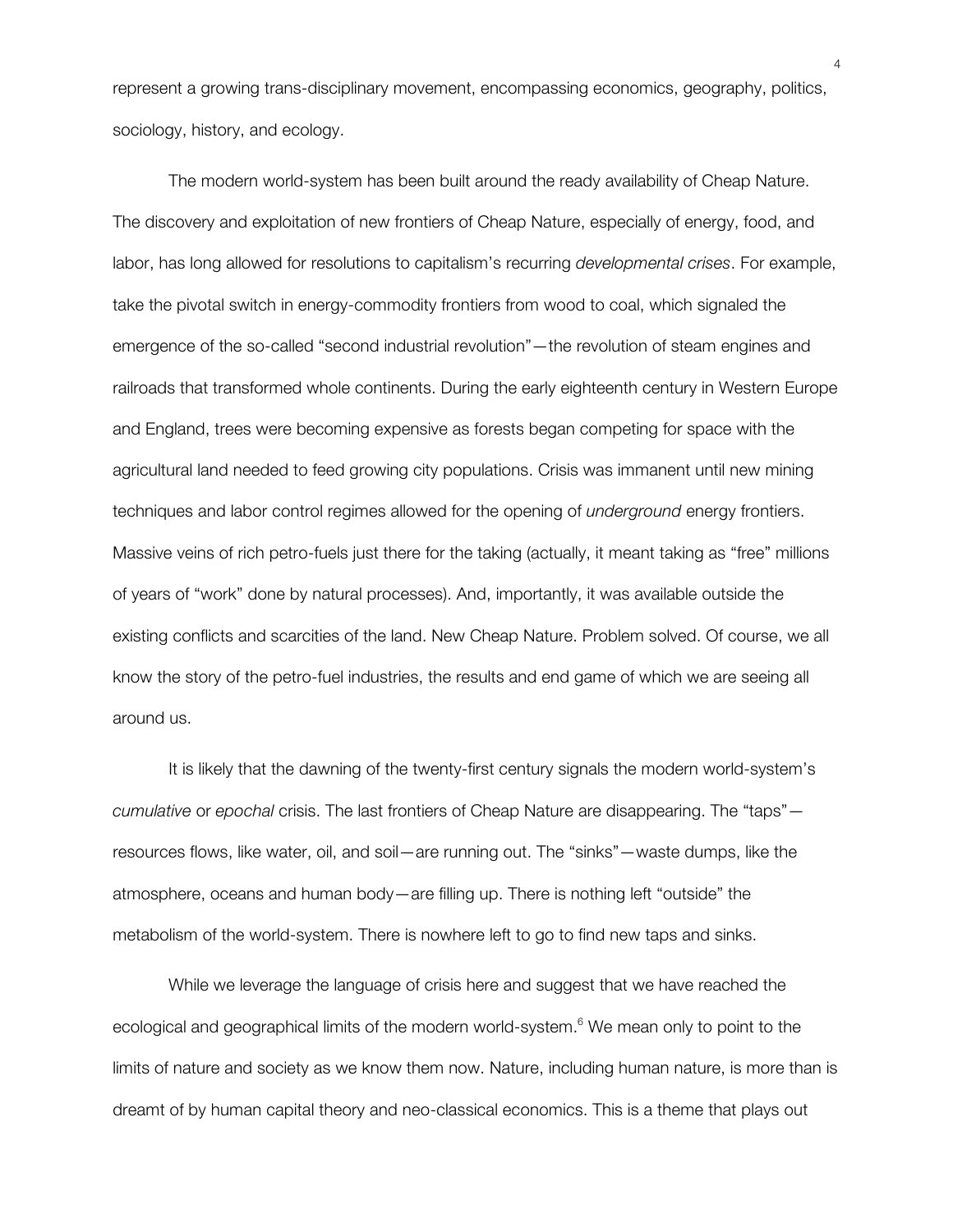represent a growing trans-disciplinary movement, encompassing economics, geography, politics, sociology, history, and ecology.

The modern world-system has been built around the ready availability of Cheap Nature. The discovery and exploitation of new frontiers of Cheap Nature, especially of energy, food, and labor, has long allowed for resolutions to capitalism's recurring *developmental crises*. For example, take the pivotal switch in energy-commodity frontiers from wood to coal, which signaled the emergence of the so-called "second industrial revolution"—the revolution of steam engines and railroads that transformed whole continents. During the early eighteenth century in Western Europe and England, trees were becoming expensive as forests began competing for space with the agricultural land needed to feed growing city populations. Crisis was immanent until new mining techniques and labor control regimes allowed for the opening of *underground* energy frontiers. Massive veins of rich petro-fuels just there for the taking (actually, it meant taking as "free" millions of years of "work" done by natural processes). And, importantly, it was available outside the existing conflicts and scarcities of the land. New Cheap Nature. Problem solved. Of course, we all know the story of the petro-fuel industries, the results and end game of which we are seeing all around us.

It is likely that the dawning of the twenty-first century signals the modern world-system's *cumulative* or *epochal* crisis. The last frontiers of Cheap Nature are disappearing. The "taps" resources flows, like water, oil, and soil—are running out. The "sinks"—waste dumps, like the atmosphere, oceans and human body—are filling up. There is nothing left "outside" the metabolism of the world-system. There is nowhere left to go to find new taps and sinks.

While we leverage the language of crisis here and suggest that we have reached the ecological and geographical limits of the modern world-system.<sup>6</sup> We mean only to point to the limits of nature and society as we know them now. Nature, including human nature, is more than is dreamt of by human capital theory and neo-classical economics. This is a theme that plays out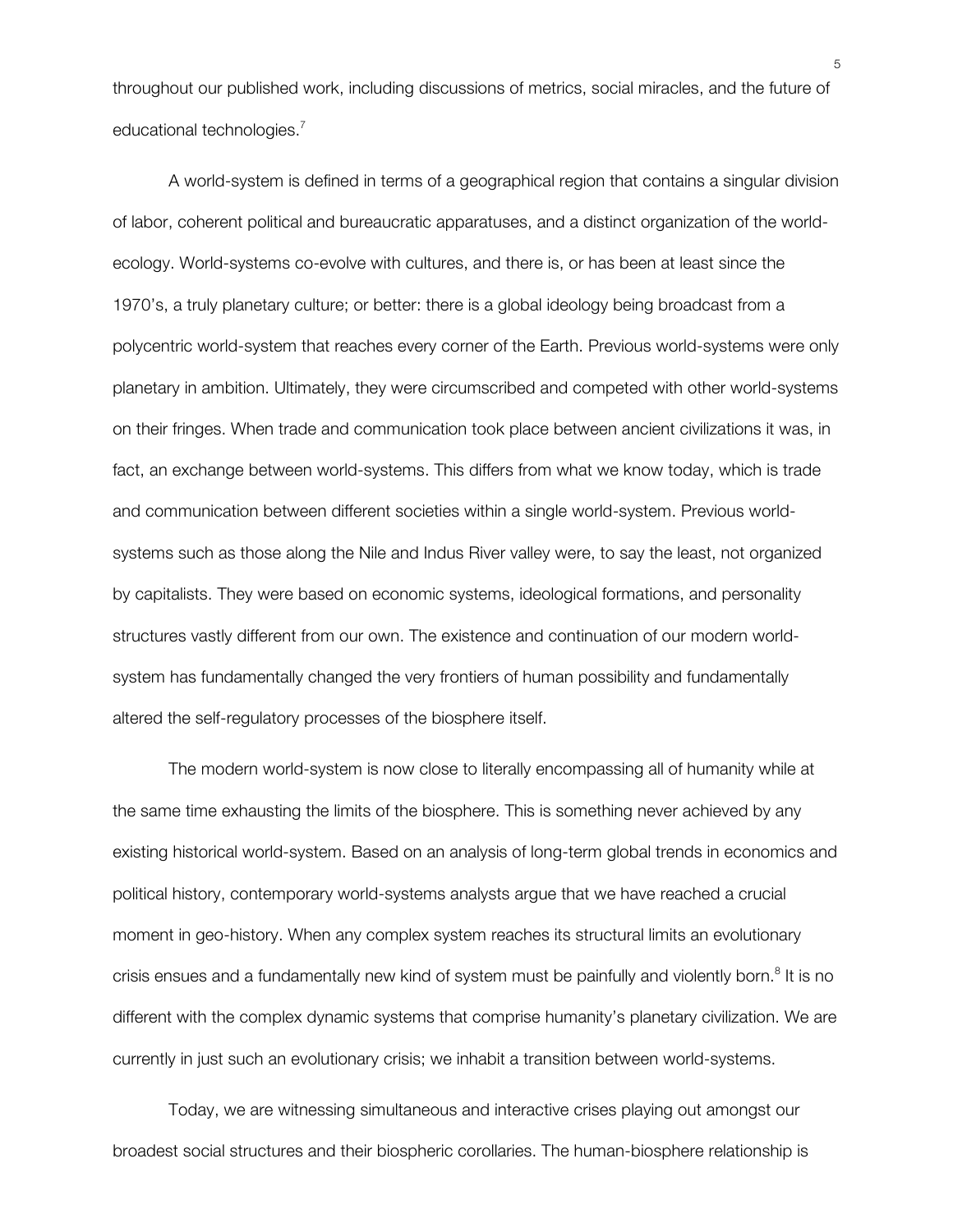throughout our published work, including discussions of metrics, social miracles, and the future of educational technologies.<sup>7</sup>

A world-system is defined in terms of a geographical region that contains a singular division of labor, coherent political and bureaucratic apparatuses, and a distinct organization of the worldecology. World-systems co-evolve with cultures, and there is, or has been at least since the 1970's, a truly planetary culture; or better: there is a global ideology being broadcast from a polycentric world-system that reaches every corner of the Earth. Previous world-systems were only planetary in ambition. Ultimately, they were circumscribed and competed with other world-systems on their fringes. When trade and communication took place between ancient civilizations it was, in fact, an exchange between world-systems. This differs from what we know today, which is trade and communication between different societies within a single world-system. Previous worldsystems such as those along the Nile and Indus River valley were, to say the least, not organized by capitalists. They were based on economic systems, ideological formations, and personality structures vastly different from our own. The existence and continuation of our modern worldsystem has fundamentally changed the very frontiers of human possibility and fundamentally altered the self-regulatory processes of the biosphere itself.

The modern world-system is now close to literally encompassing all of humanity while at the same time exhausting the limits of the biosphere. This is something never achieved by any existing historical world-system. Based on an analysis of long-term global trends in economics and political history, contemporary world-systems analysts argue that we have reached a crucial moment in geo-history. When any complex system reaches its structural limits an evolutionary crisis ensues and a fundamentally new kind of system must be painfully and violently born.<sup>8</sup> It is no different with the complex dynamic systems that comprise humanity's planetary civilization. We are currently in just such an evolutionary crisis; we inhabit a transition between world-systems.

Today, we are witnessing simultaneous and interactive crises playing out amongst our broadest social structures and their biospheric corollaries. The human-biosphere relationship is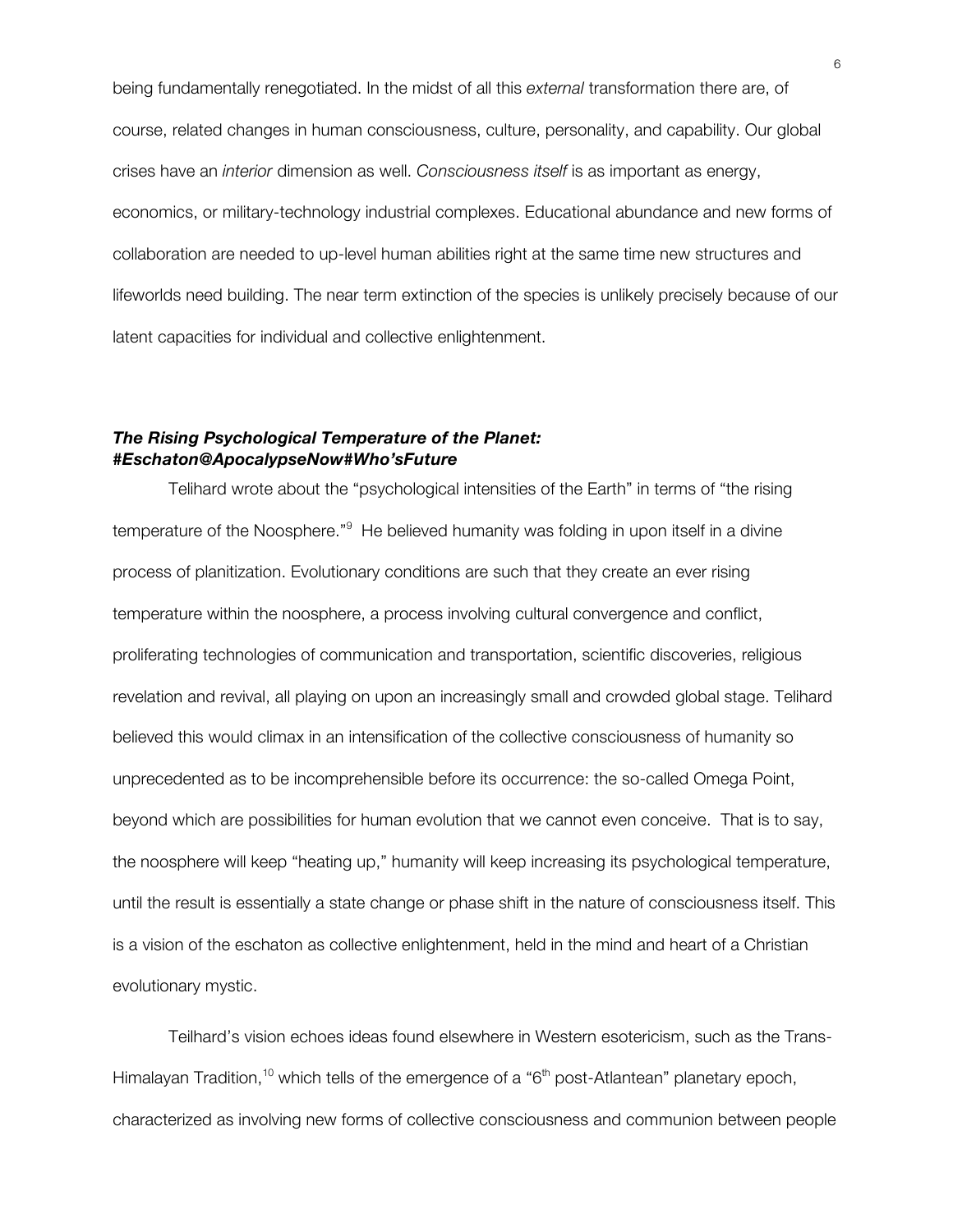being fundamentally renegotiated. In the midst of all this *external* transformation there are, of course, related changes in human consciousness, culture, personality, and capability. Our global crises have an *interior* dimension as well. *Consciousness itself* is as important as energy, economics, or military-technology industrial complexes. Educational abundance and new forms of collaboration are needed to up-level human abilities right at the same time new structures and lifeworlds need building. The near term extinction of the species is unlikely precisely because of our latent capacities for individual and collective enlightenment.

## *The Rising Psychological Temperature of the Planet: #Eschaton@ApocalypseNow#Who'sFuture*

Telihard wrote about the "psychological intensities of the Earth" in terms of "the rising temperature of the Noosphere."<sup>9</sup> He believed humanity was folding in upon itself in a divine process of planitization. Evolutionary conditions are such that they create an ever rising temperature within the noosphere, a process involving cultural convergence and conflict, proliferating technologies of communication and transportation, scientific discoveries, religious revelation and revival, all playing on upon an increasingly small and crowded global stage. Telihard believed this would climax in an intensification of the collective consciousness of humanity so unprecedented as to be incomprehensible before its occurrence: the so-called Omega Point, beyond which are possibilities for human evolution that we cannot even conceive. That is to say, the noosphere will keep "heating up," humanity will keep increasing its psychological temperature, until the result is essentially a state change or phase shift in the nature of consciousness itself. This is a vision of the eschaton as collective enlightenment, held in the mind and heart of a Christian evolutionary mystic.

Teilhard's vision echoes ideas found elsewhere in Western esotericism, such as the Trans-Himalayan Tradition,<sup>10</sup> which tells of the emergence of a "6<sup>th</sup> post-Atlantean" planetary epoch, characterized as involving new forms of collective consciousness and communion between people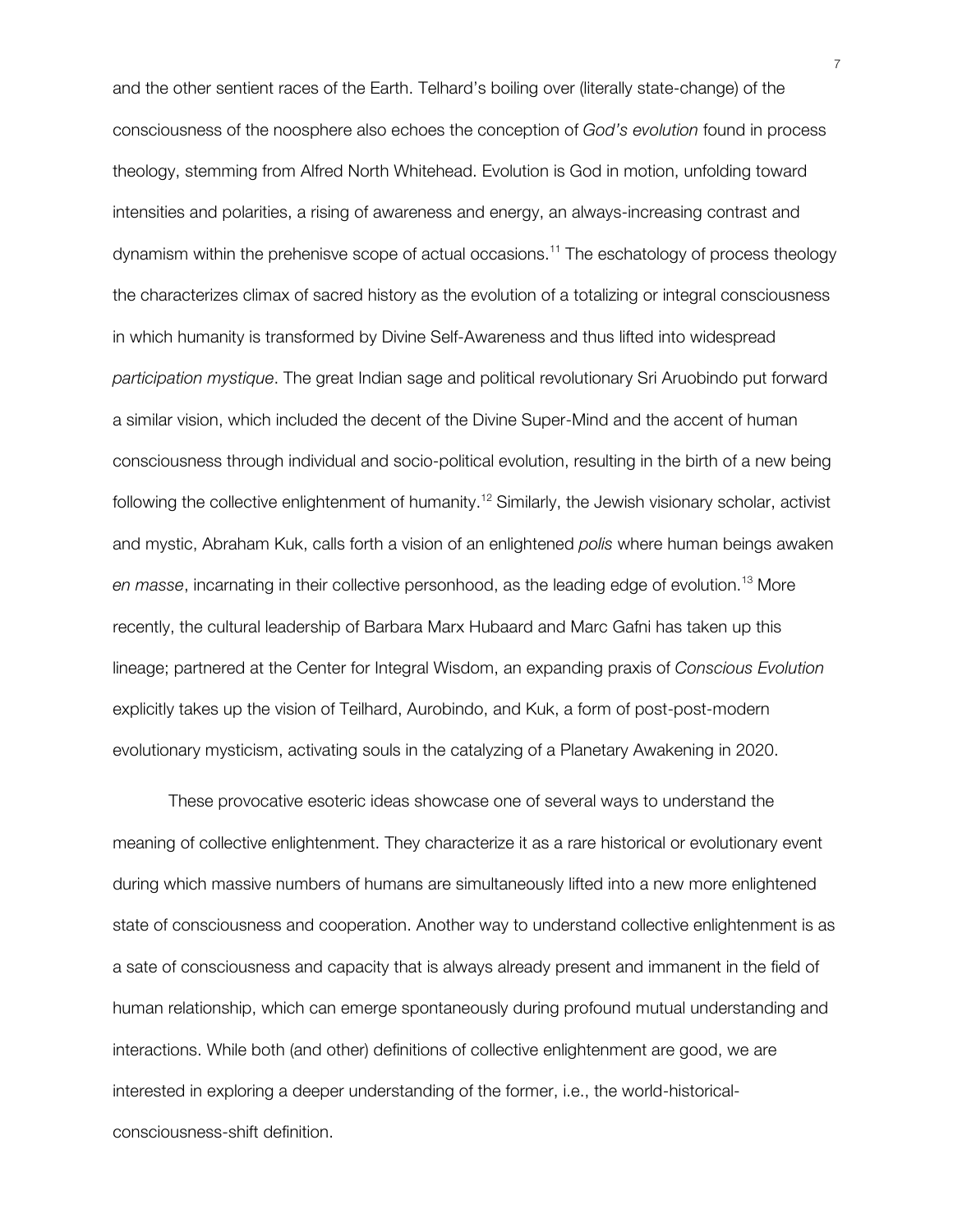and the other sentient races of the Earth. Telhard's boiling over (literally state-change) of the consciousness of the noosphere also echoes the conception of *God's evolution* found in process theology, stemming from Alfred North Whitehead. Evolution is God in motion, unfolding toward intensities and polarities, a rising of awareness and energy, an always-increasing contrast and dynamism within the prehenisve scope of actual occasions. <sup>11</sup> The eschatology of process theology the characterizes climax of sacred history as the evolution of a totalizing or integral consciousness in which humanity is transformed by Divine Self-Awareness and thus lifted into widespread *participation mystique*. The great Indian sage and political revolutionary Sri Aruobindo put forward a similar vision, which included the decent of the Divine Super-Mind and the accent of human consciousness through individual and socio-political evolution, resulting in the birth of a new being following the collective enlightenment of humanity.<sup>12</sup> Similarly, the Jewish visionary scholar, activist and mystic, Abraham Kuk, calls forth a vision of an enlightened *polis* where human beings awaken *en masse*, incarnating in their collective personhood, as the leading edge of evolution.13 More recently, the cultural leadership of Barbara Marx Hubaard and Marc Gafni has taken up this lineage; partnered at the Center for Integral Wisdom, an expanding praxis of *Conscious Evolution* explicitly takes up the vision of Teilhard, Aurobindo, and Kuk, a form of post-post-modern evolutionary mysticism, activating souls in the catalyzing of a Planetary Awakening in 2020.

These provocative esoteric ideas showcase one of several ways to understand the meaning of collective enlightenment. They characterize it as a rare historical or evolutionary event during which massive numbers of humans are simultaneously lifted into a new more enlightened state of consciousness and cooperation. Another way to understand collective enlightenment is as a sate of consciousness and capacity that is always already present and immanent in the field of human relationship, which can emerge spontaneously during profound mutual understanding and interactions. While both (and other) definitions of collective enlightenment are good, we are interested in exploring a deeper understanding of the former, i.e., the world-historicalconsciousness-shift definition.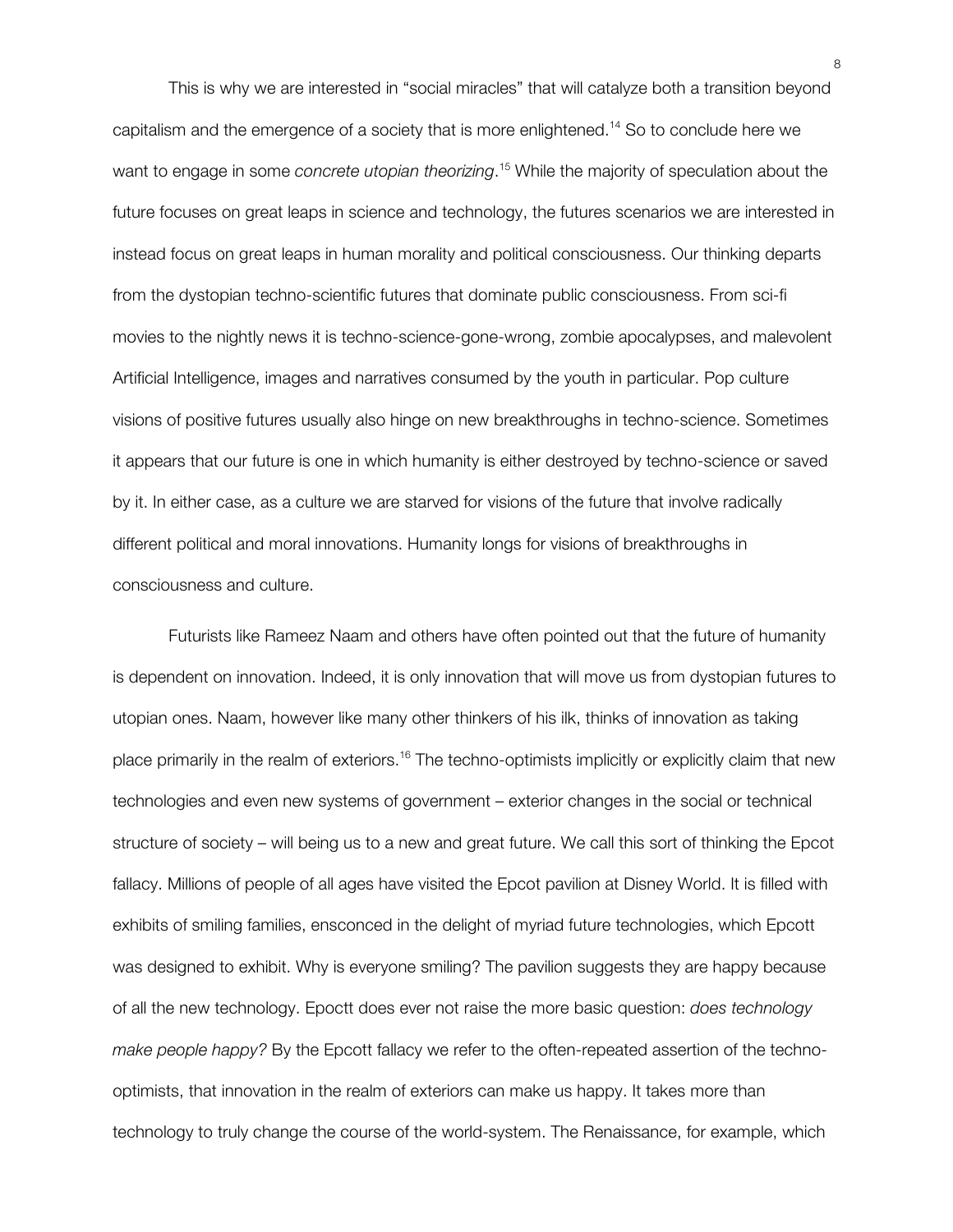This is why we are interested in "social miracles" that will catalyze both a transition beyond capitalism and the emergence of a society that is more enlightened.<sup>14</sup> So to conclude here we want to engage in some *concrete utopian theorizing*. <sup>15</sup> While the majority of speculation about the future focuses on great leaps in science and technology, the futures scenarios we are interested in instead focus on great leaps in human morality and political consciousness. Our thinking departs from the dystopian techno-scientific futures that dominate public consciousness. From sci-fi movies to the nightly news it is techno-science-gone-wrong, zombie apocalypses, and malevolent Artificial Intelligence, images and narratives consumed by the youth in particular. Pop culture visions of positive futures usually also hinge on new breakthroughs in techno-science. Sometimes it appears that our future is one in which humanity is either destroyed by techno-science or saved by it. In either case, as a culture we are starved for visions of the future that involve radically different political and moral innovations. Humanity longs for visions of breakthroughs in consciousness and culture.

Futurists like Rameez Naam and others have often pointed out that the future of humanity is dependent on innovation. Indeed, it is only innovation that will move us from dystopian futures to utopian ones. Naam, however like many other thinkers of his ilk, thinks of innovation as taking place primarily in the realm of exteriors.<sup>16</sup> The techno-optimists implicitly or explicitly claim that new technologies and even new systems of government – exterior changes in the social or technical structure of society – will being us to a new and great future. We call this sort of thinking the Epcot fallacy. Millions of people of all ages have visited the Epcot pavilion at Disney World. It is filled with exhibits of smiling families, ensconced in the delight of myriad future technologies, which Epcott was designed to exhibit. Why is everyone smiling? The pavilion suggests they are happy because of all the new technology. Epoctt does ever not raise the more basic question: *does technology make people happy?* By the Epcott fallacy we refer to the often-repeated assertion of the technooptimists, that innovation in the realm of exteriors can make us happy. It takes more than technology to truly change the course of the world-system. The Renaissance, for example, which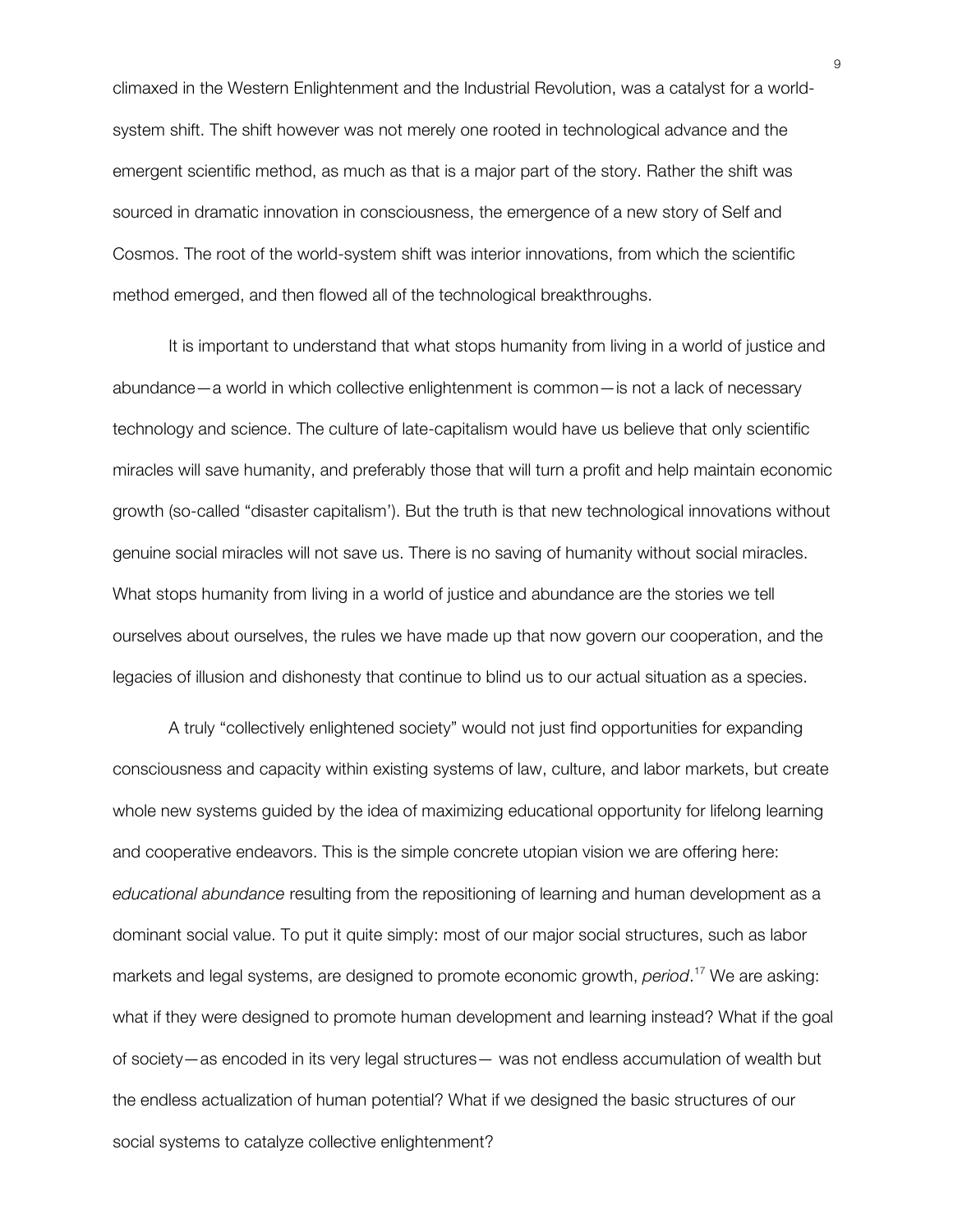climaxed in the Western Enlightenment and the Industrial Revolution, was a catalyst for a worldsystem shift. The shift however was not merely one rooted in technological advance and the emergent scientific method, as much as that is a major part of the story. Rather the shift was sourced in dramatic innovation in consciousness, the emergence of a new story of Self and Cosmos. The root of the world-system shift was interior innovations, from which the scientific method emerged, and then flowed all of the technological breakthroughs.

It is important to understand that what stops humanity from living in a world of justice and abundance—a world in which collective enlightenment is common—is not a lack of necessary technology and science. The culture of late-capitalism would have us believe that only scientific miracles will save humanity, and preferably those that will turn a profit and help maintain economic growth (so-called "disaster capitalism'). But the truth is that new technological innovations without genuine social miracles will not save us. There is no saving of humanity without social miracles. What stops humanity from living in a world of justice and abundance are the stories we tell ourselves about ourselves, the rules we have made up that now govern our cooperation, and the legacies of illusion and dishonesty that continue to blind us to our actual situation as a species.

A truly "collectively enlightened society" would not just find opportunities for expanding consciousness and capacity within existing systems of law, culture, and labor markets, but create whole new systems guided by the idea of maximizing educational opportunity for lifelong learning and cooperative endeavors. This is the simple concrete utopian vision we are offering here: *educational abundance* resulting from the repositioning of learning and human development as a dominant social value. To put it quite simply: most of our major social structures, such as labor markets and legal systems, are designed to promote economic growth, *period*. <sup>17</sup> We are asking: what if they were designed to promote human development and learning instead? What if the goal of society—as encoded in its very legal structures— was not endless accumulation of wealth but the endless actualization of human potential? What if we designed the basic structures of our social systems to catalyze collective enlightenment?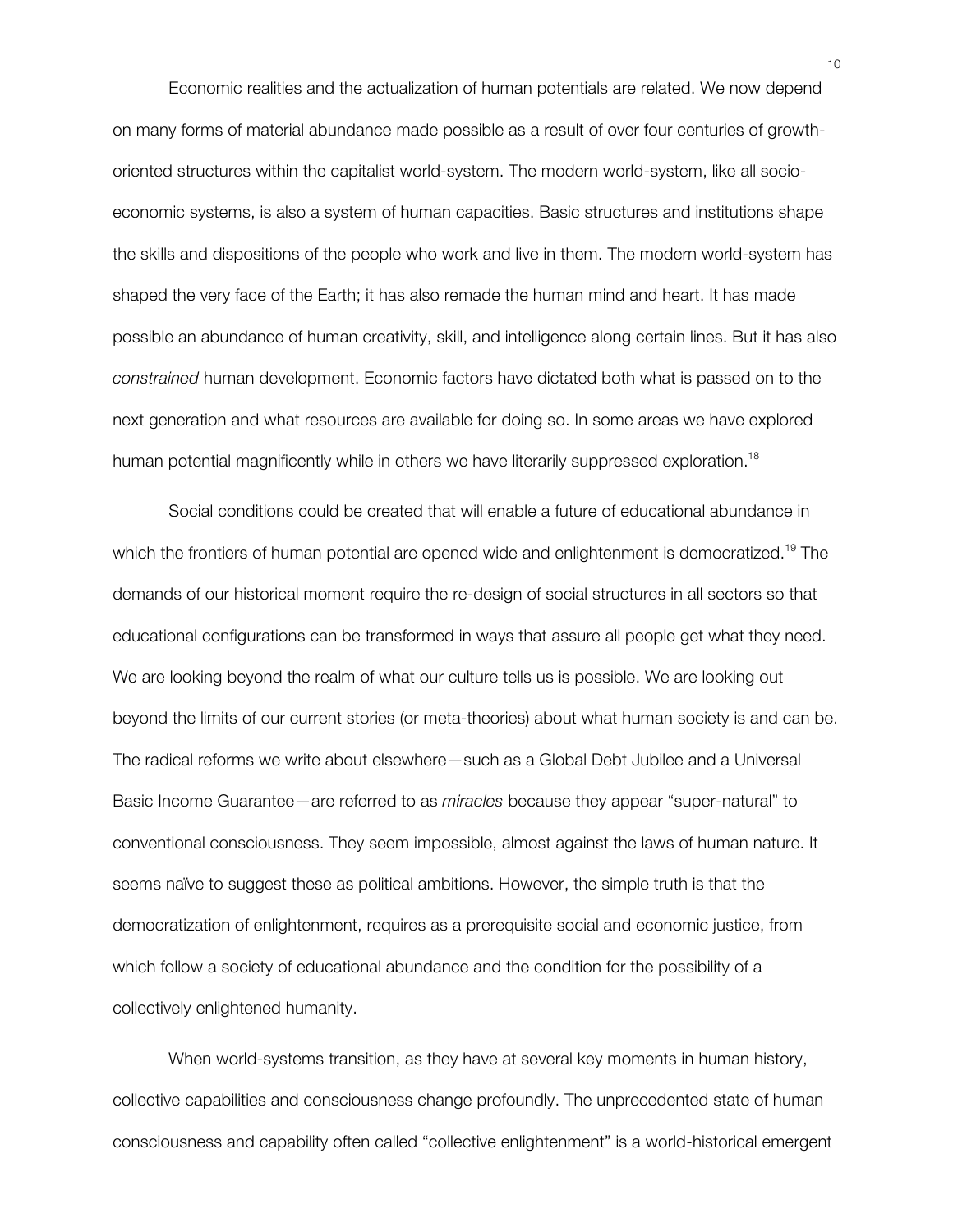Economic realities and the actualization of human potentials are related. We now depend on many forms of material abundance made possible as a result of over four centuries of growthoriented structures within the capitalist world-system. The modern world-system, like all socioeconomic systems, is also a system of human capacities. Basic structures and institutions shape the skills and dispositions of the people who work and live in them. The modern world-system has shaped the very face of the Earth; it has also remade the human mind and heart. It has made possible an abundance of human creativity, skill, and intelligence along certain lines. But it has also *constrained* human development. Economic factors have dictated both what is passed on to the next generation and what resources are available for doing so. In some areas we have explored human potential magnificently while in others we have literarily suppressed exploration.<sup>18</sup>

Social conditions could be created that will enable a future of educational abundance in which the frontiers of human potential are opened wide and enlightenment is democratized.<sup>19</sup> The demands of our historical moment require the re-design of social structures in all sectors so that educational configurations can be transformed in ways that assure all people get what they need. We are looking beyond the realm of what our culture tells us is possible. We are looking out beyond the limits of our current stories (or meta-theories) about what human society is and can be. The radical reforms we write about elsewhere—such as a Global Debt Jubilee and a Universal Basic Income Guarantee—are referred to as *miracles* because they appear "super-natural" to conventional consciousness. They seem impossible, almost against the laws of human nature. It seems naïve to suggest these as political ambitions. However, the simple truth is that the democratization of enlightenment, requires as a prerequisite social and economic justice, from which follow a society of educational abundance and the condition for the possibility of a collectively enlightened humanity.

When world-systems transition, as they have at several key moments in human history, collective capabilities and consciousness change profoundly. The unprecedented state of human consciousness and capability often called "collective enlightenment" is a world-historical emergent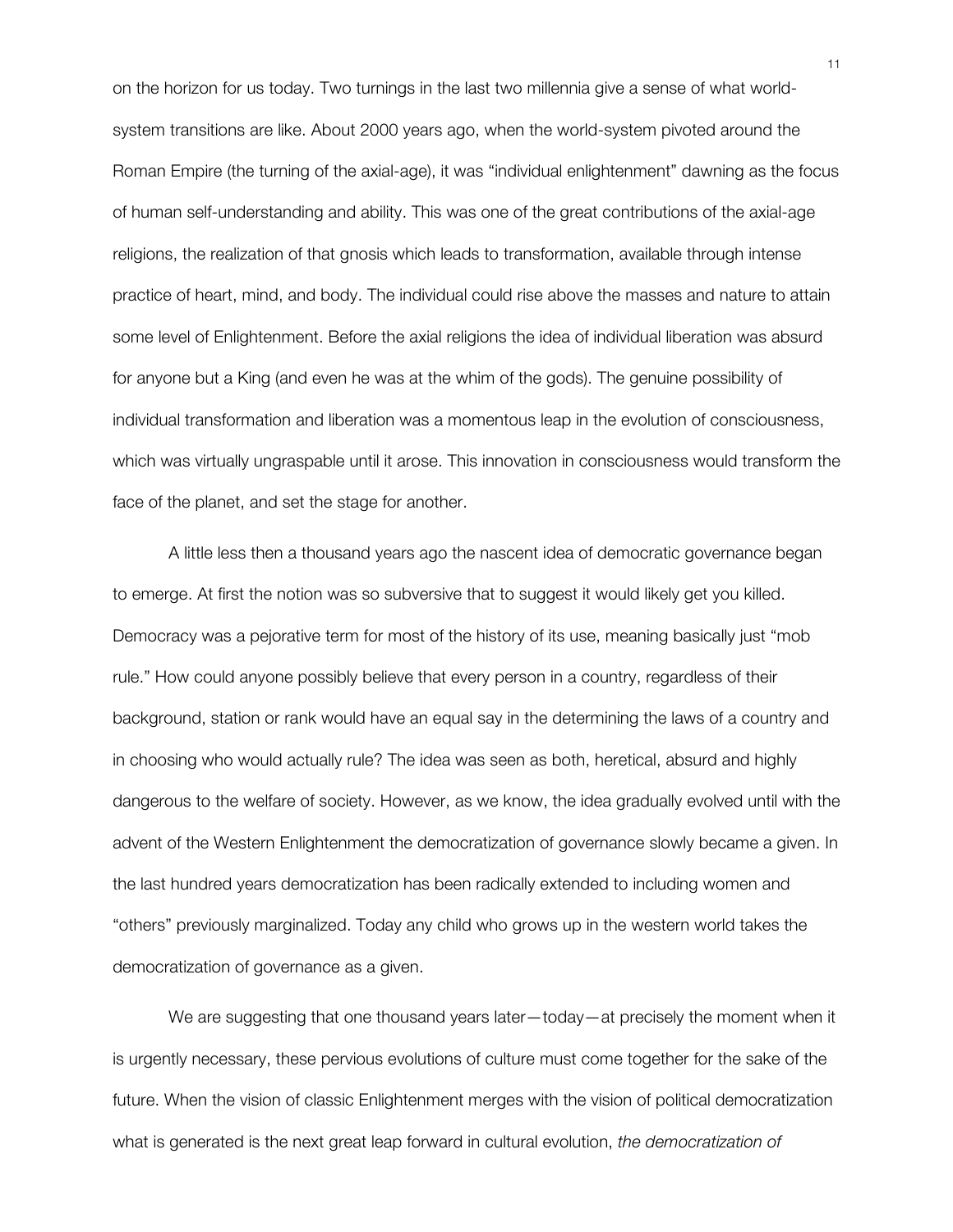on the horizon for us today. Two turnings in the last two millennia give a sense of what worldsystem transitions are like. About 2000 years ago, when the world-system pivoted around the Roman Empire (the turning of the axial-age), it was "individual enlightenment" dawning as the focus of human self-understanding and ability. This was one of the great contributions of the axial-age religions, the realization of that gnosis which leads to transformation, available through intense practice of heart, mind, and body. The individual could rise above the masses and nature to attain some level of Enlightenment. Before the axial religions the idea of individual liberation was absurd for anyone but a King (and even he was at the whim of the gods). The genuine possibility of individual transformation and liberation was a momentous leap in the evolution of consciousness, which was virtually ungraspable until it arose. This innovation in consciousness would transform the face of the planet, and set the stage for another.

A little less then a thousand years ago the nascent idea of democratic governance began to emerge. At first the notion was so subversive that to suggest it would likely get you killed. Democracy was a pejorative term for most of the history of its use, meaning basically just "mob rule." How could anyone possibly believe that every person in a country, regardless of their background, station or rank would have an equal say in the determining the laws of a country and in choosing who would actually rule? The idea was seen as both, heretical, absurd and highly dangerous to the welfare of society. However, as we know, the idea gradually evolved until with the advent of the Western Enlightenment the democratization of governance slowly became a given. In the last hundred years democratization has been radically extended to including women and "others" previously marginalized. Today any child who grows up in the western world takes the democratization of governance as a given.

We are suggesting that one thousand years later—today—at precisely the moment when it is urgently necessary, these pervious evolutions of culture must come together for the sake of the future. When the vision of classic Enlightenment merges with the vision of political democratization what is generated is the next great leap forward in cultural evolution, *the democratization of*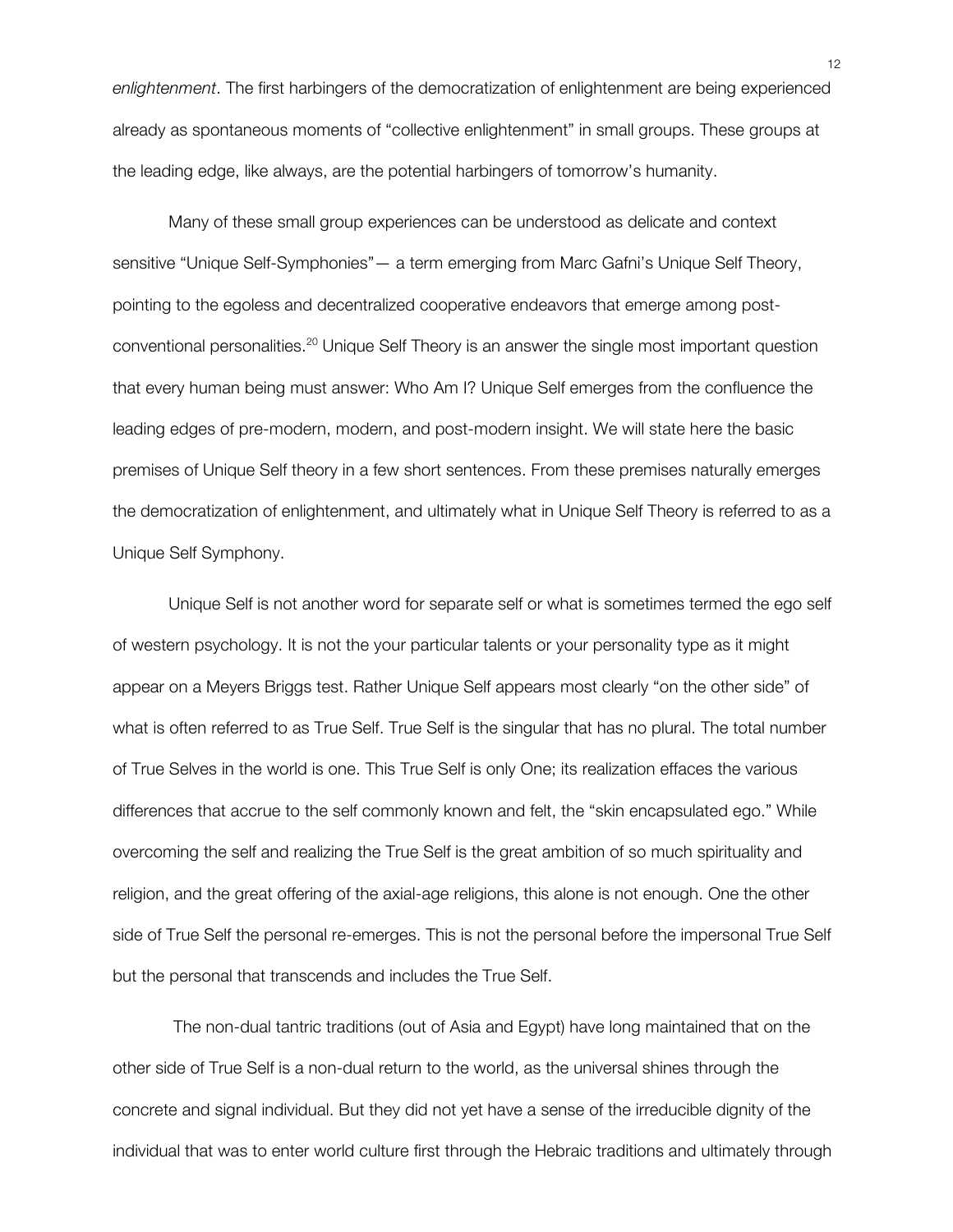*enlightenment*. The first harbingers of the democratization of enlightenment are being experienced already as spontaneous moments of "collective enlightenment" in small groups. These groups at the leading edge, like always, are the potential harbingers of tomorrow's humanity.

Many of these small group experiences can be understood as delicate and context sensitive "Unique Self-Symphonies"— a term emerging from Marc Gafni's Unique Self Theory, pointing to the egoless and decentralized cooperative endeavors that emerge among postconventional personalities.20 Unique Self Theory is an answer the single most important question that every human being must answer: Who Am I? Unique Self emerges from the confluence the leading edges of pre-modern, modern, and post-modern insight. We will state here the basic premises of Unique Self theory in a few short sentences. From these premises naturally emerges the democratization of enlightenment, and ultimately what in Unique Self Theory is referred to as a Unique Self Symphony.

Unique Self is not another word for separate self or what is sometimes termed the ego self of western psychology. It is not the your particular talents or your personality type as it might appear on a Meyers Briggs test. Rather Unique Self appears most clearly "on the other side" of what is often referred to as True Self. True Self is the singular that has no plural. The total number of True Selves in the world is one. This True Self is only One; its realization effaces the various differences that accrue to the self commonly known and felt, the "skin encapsulated ego." While overcoming the self and realizing the True Self is the great ambition of so much spirituality and religion, and the great offering of the axial-age religions, this alone is not enough. One the other side of True Self the personal re-emerges. This is not the personal before the impersonal True Self but the personal that transcends and includes the True Self.

The non-dual tantric traditions (out of Asia and Egypt) have long maintained that on the other side of True Self is a non-dual return to the world, as the universal shines through the concrete and signal individual. But they did not yet have a sense of the irreducible dignity of the individual that was to enter world culture first through the Hebraic traditions and ultimately through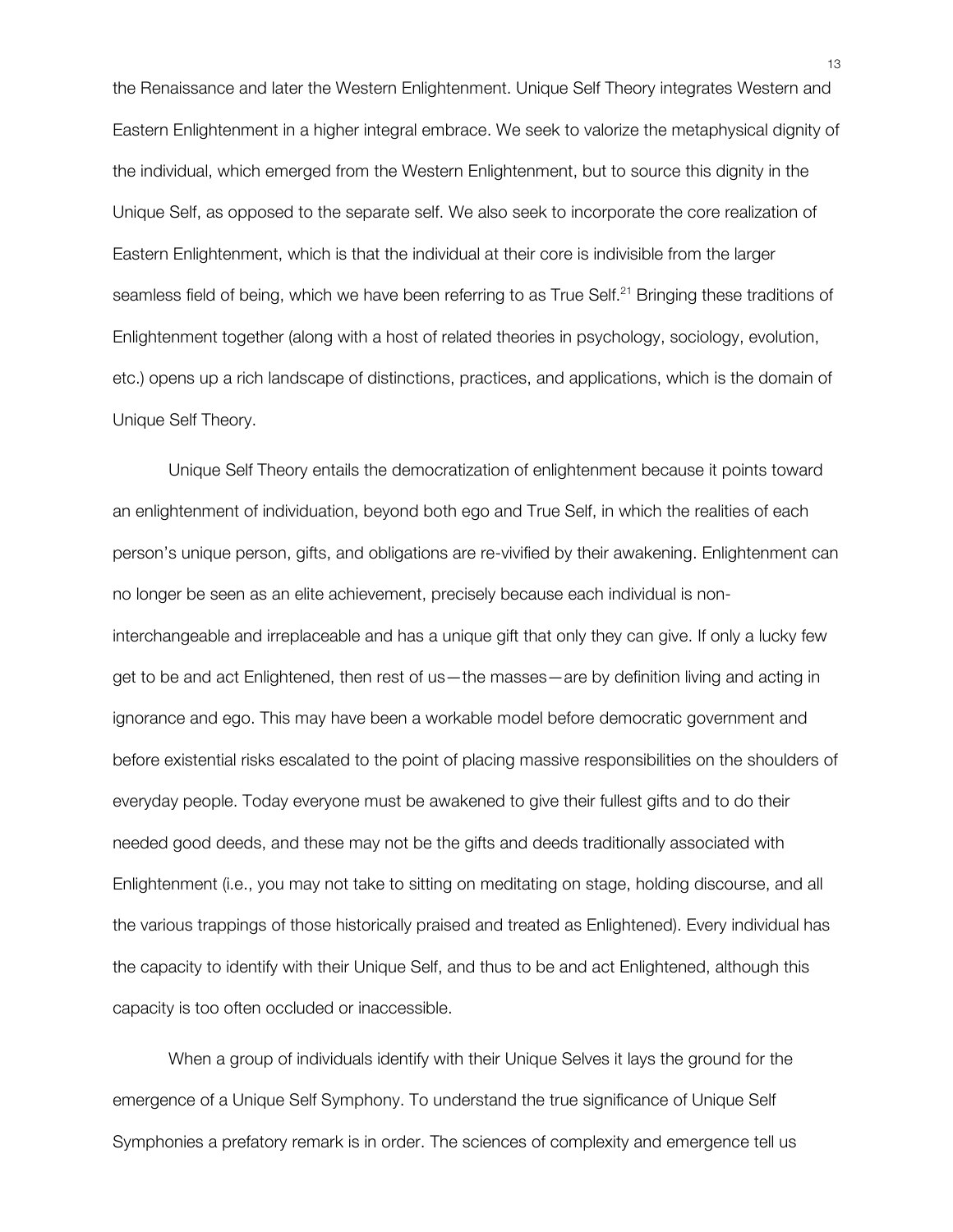the Renaissance and later the Western Enlightenment. Unique Self Theory integrates Western and Eastern Enlightenment in a higher integral embrace. We seek to valorize the metaphysical dignity of the individual, which emerged from the Western Enlightenment, but to source this dignity in the Unique Self, as opposed to the separate self. We also seek to incorporate the core realization of Eastern Enlightenment, which is that the individual at their core is indivisible from the larger seamless field of being, which we have been referring to as True Self.<sup>21</sup> Bringing these traditions of Enlightenment together (along with a host of related theories in psychology, sociology, evolution, etc.) opens up a rich landscape of distinctions, practices, and applications, which is the domain of Unique Self Theory.

Unique Self Theory entails the democratization of enlightenment because it points toward an enlightenment of individuation, beyond both ego and True Self, in which the realities of each person's unique person, gifts, and obligations are re-vivified by their awakening. Enlightenment can no longer be seen as an elite achievement, precisely because each individual is noninterchangeable and irreplaceable and has a unique gift that only they can give. If only a lucky few get to be and act Enlightened, then rest of us—the masses—are by definition living and acting in ignorance and ego. This may have been a workable model before democratic government and before existential risks escalated to the point of placing massive responsibilities on the shoulders of everyday people. Today everyone must be awakened to give their fullest gifts and to do their needed good deeds, and these may not be the gifts and deeds traditionally associated with Enlightenment (i.e., you may not take to sitting on meditating on stage, holding discourse, and all the various trappings of those historically praised and treated as Enlightened). Every individual has the capacity to identify with their Unique Self, and thus to be and act Enlightened, although this capacity is too often occluded or inaccessible.

When a group of individuals identify with their Unique Selves it lays the ground for the emergence of a Unique Self Symphony. To understand the true significance of Unique Self Symphonies a prefatory remark is in order. The sciences of complexity and emergence tell us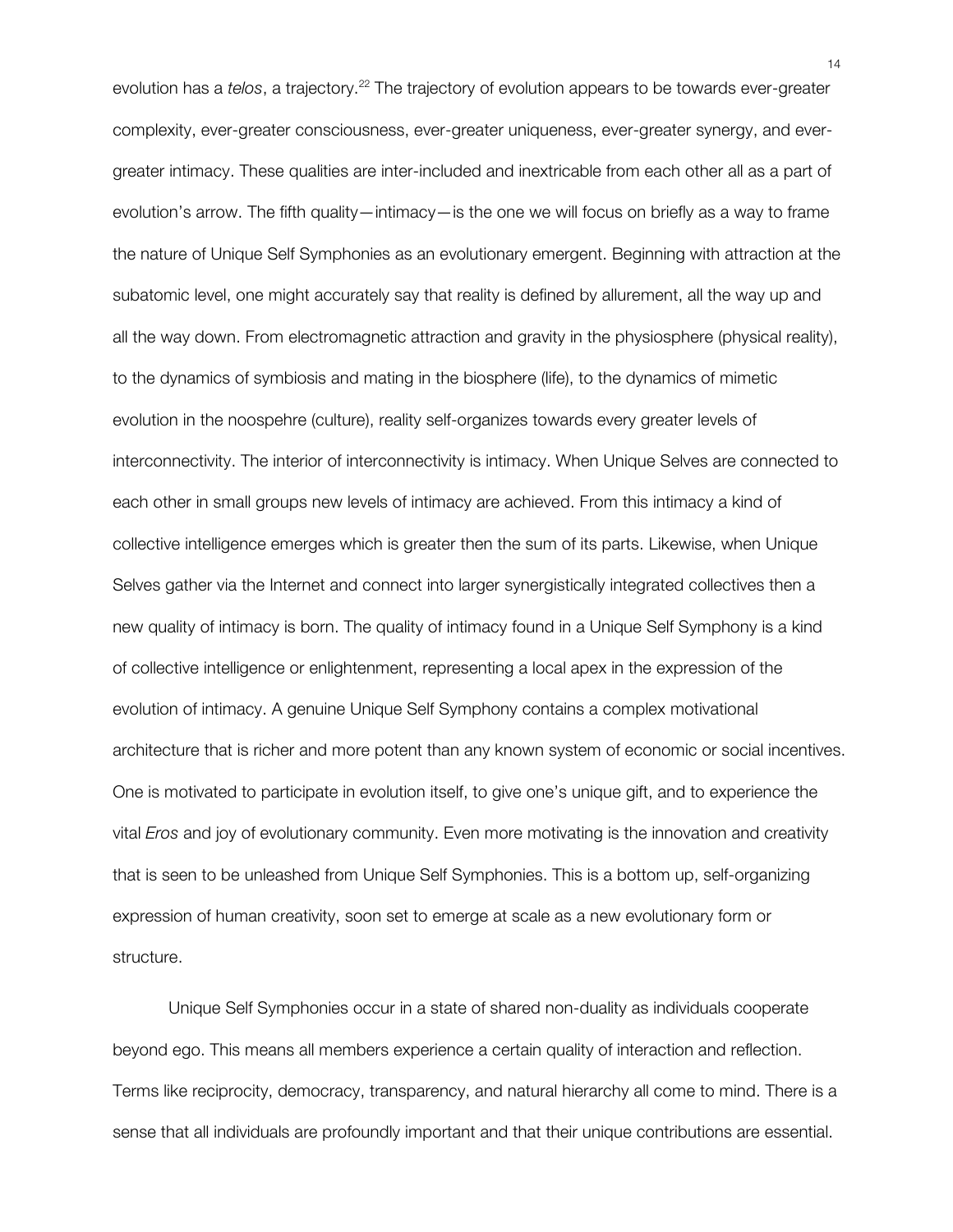evolution has a *telos*, a trajectory.<sup>22</sup> The trajectory of evolution appears to be towards ever-greater complexity, ever-greater consciousness, ever-greater uniqueness, ever-greater synergy, and evergreater intimacy. These qualities are inter-included and inextricable from each other all as a part of evolution's arrow. The fifth quality—intimacy—is the one we will focus on briefly as a way to frame the nature of Unique Self Symphonies as an evolutionary emergent. Beginning with attraction at the subatomic level, one might accurately say that reality is defined by allurement, all the way up and all the way down. From electromagnetic attraction and gravity in the physiosphere (physical reality), to the dynamics of symbiosis and mating in the biosphere (life), to the dynamics of mimetic evolution in the noospehre (culture), reality self-organizes towards every greater levels of interconnectivity. The interior of interconnectivity is intimacy. When Unique Selves are connected to each other in small groups new levels of intimacy are achieved. From this intimacy a kind of collective intelligence emerges which is greater then the sum of its parts. Likewise, when Unique Selves gather via the Internet and connect into larger synergistically integrated collectives then a new quality of intimacy is born. The quality of intimacy found in a Unique Self Symphony is a kind of collective intelligence or enlightenment, representing a local apex in the expression of the evolution of intimacy. A genuine Unique Self Symphony contains a complex motivational architecture that is richer and more potent than any known system of economic or social incentives. One is motivated to participate in evolution itself, to give one's unique gift, and to experience the vital *Eros* and joy of evolutionary community. Even more motivating is the innovation and creativity that is seen to be unleashed from Unique Self Symphonies. This is a bottom up, self-organizing expression of human creativity, soon set to emerge at scale as a new evolutionary form or structure.

Unique Self Symphonies occur in a state of shared non-duality as individuals cooperate beyond ego. This means all members experience a certain quality of interaction and reflection. Terms like reciprocity, democracy, transparency, and natural hierarchy all come to mind. There is a sense that all individuals are profoundly important and that their unique contributions are essential.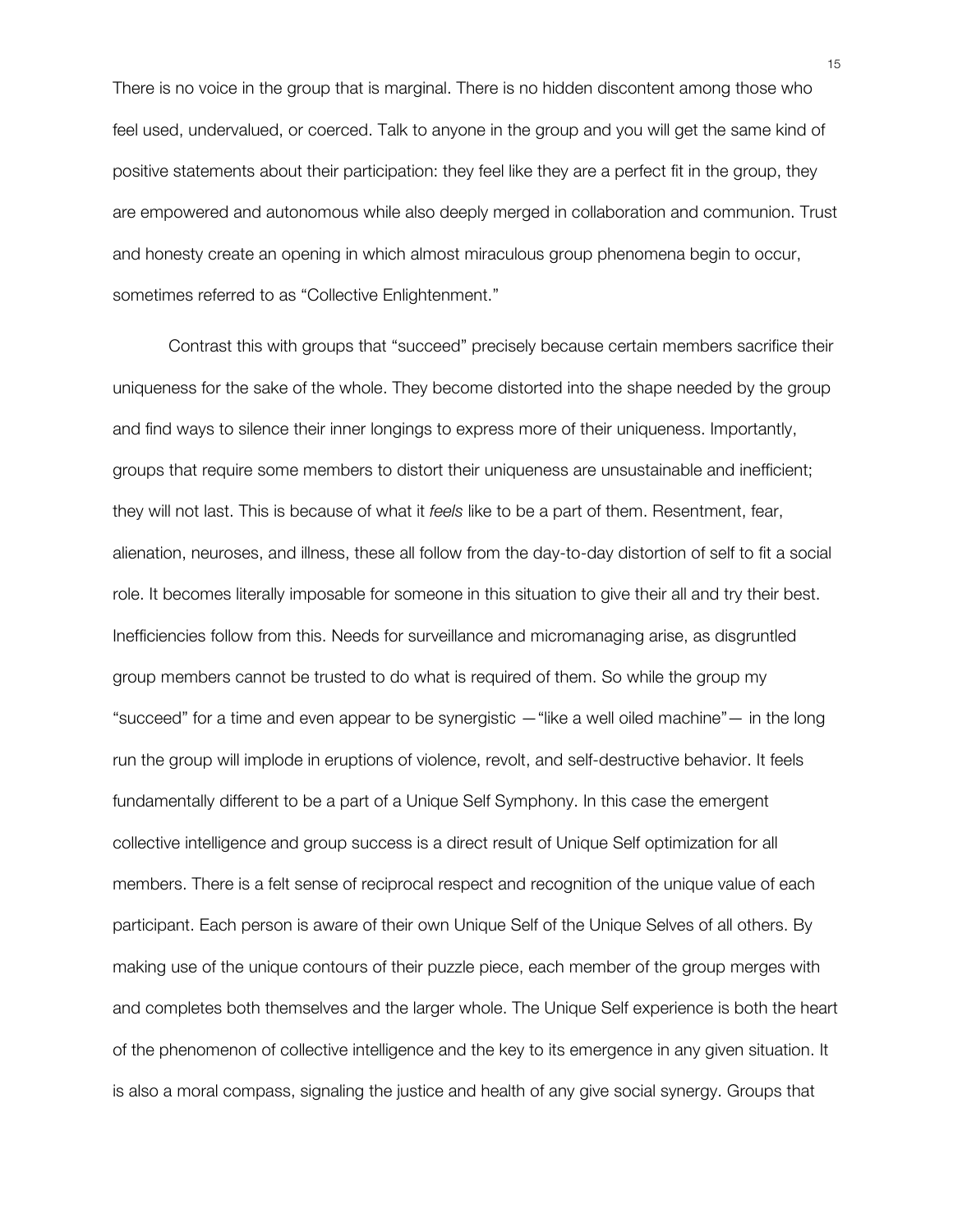There is no voice in the group that is marginal. There is no hidden discontent among those who feel used, undervalued, or coerced. Talk to anyone in the group and you will get the same kind of positive statements about their participation: they feel like they are a perfect fit in the group, they are empowered and autonomous while also deeply merged in collaboration and communion. Trust and honesty create an opening in which almost miraculous group phenomena begin to occur, sometimes referred to as "Collective Enlightenment."

Contrast this with groups that "succeed" precisely because certain members sacrifice their uniqueness for the sake of the whole. They become distorted into the shape needed by the group and find ways to silence their inner longings to express more of their uniqueness. Importantly, groups that require some members to distort their uniqueness are unsustainable and inefficient; they will not last. This is because of what it *feels* like to be a part of them. Resentment, fear, alienation, neuroses, and illness, these all follow from the day-to-day distortion of self to fit a social role. It becomes literally imposable for someone in this situation to give their all and try their best. Inefficiencies follow from this. Needs for surveillance and micromanaging arise, as disgruntled group members cannot be trusted to do what is required of them. So while the group my "succeed" for a time and even appear to be synergistic —"like a well oiled machine"— in the long run the group will implode in eruptions of violence, revolt, and self-destructive behavior. It feels fundamentally different to be a part of a Unique Self Symphony. In this case the emergent collective intelligence and group success is a direct result of Unique Self optimization for all members. There is a felt sense of reciprocal respect and recognition of the unique value of each participant. Each person is aware of their own Unique Self of the Unique Selves of all others. By making use of the unique contours of their puzzle piece, each member of the group merges with and completes both themselves and the larger whole. The Unique Self experience is both the heart of the phenomenon of collective intelligence and the key to its emergence in any given situation. It is also a moral compass, signaling the justice and health of any give social synergy. Groups that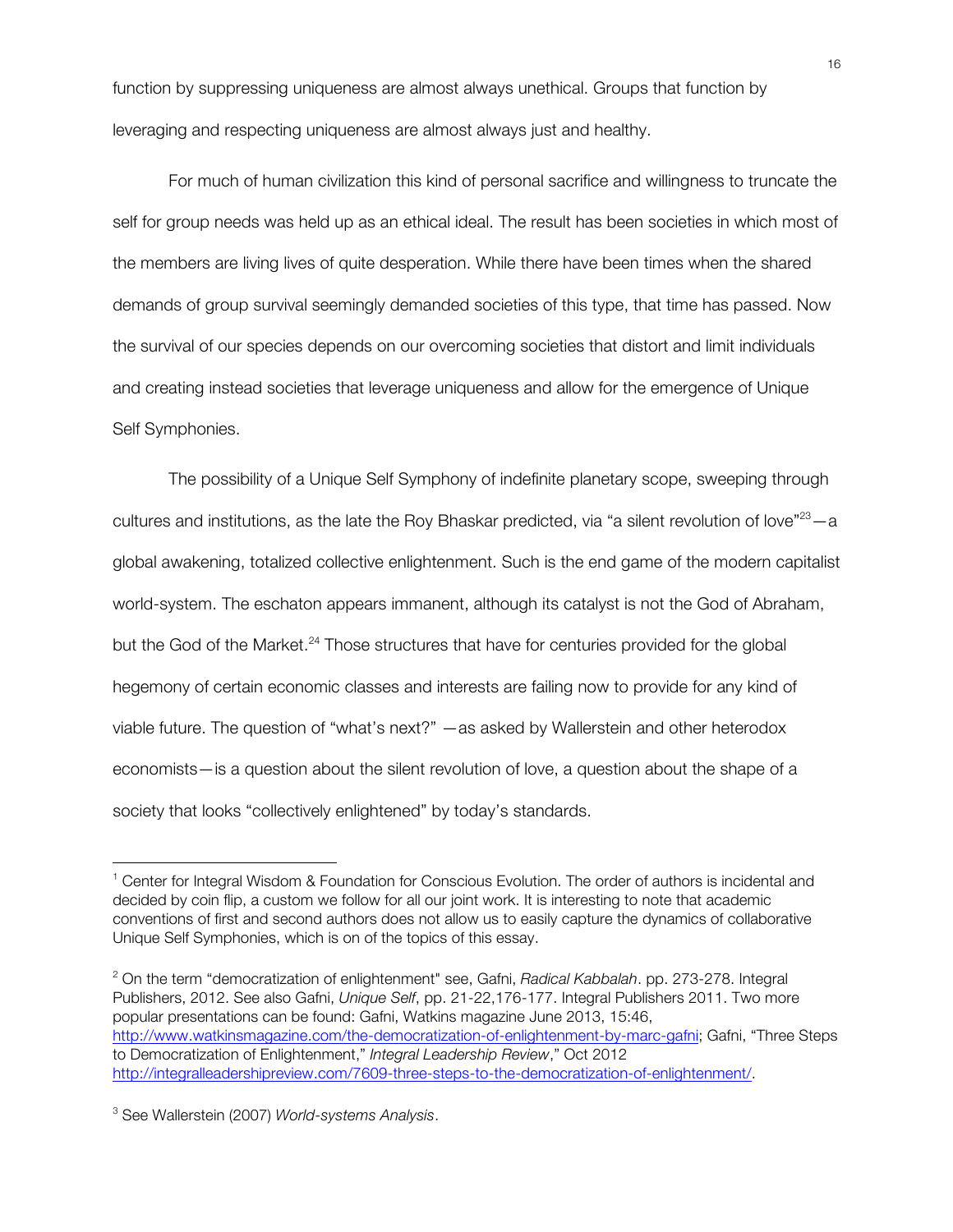function by suppressing uniqueness are almost always unethical. Groups that function by leveraging and respecting uniqueness are almost always just and healthy.

For much of human civilization this kind of personal sacrifice and willingness to truncate the self for group needs was held up as an ethical ideal. The result has been societies in which most of the members are living lives of quite desperation. While there have been times when the shared demands of group survival seemingly demanded societies of this type, that time has passed. Now the survival of our species depends on our overcoming societies that distort and limit individuals and creating instead societies that leverage uniqueness and allow for the emergence of Unique Self Symphonies.

The possibility of a Unique Self Symphony of indefinite planetary scope, sweeping through cultures and institutions, as the late the Roy Bhaskar predicted, via "a silent revolution of love" $^{23}$  – a global awakening, totalized collective enlightenment. Such is the end game of the modern capitalist world-system. The eschaton appears immanent, although its catalyst is not the God of Abraham, but the God of the Market.<sup>24</sup> Those structures that have for centuries provided for the global hegemony of certain economic classes and interests are failing now to provide for any kind of viable future. The question of "what's next?" —as asked by Wallerstein and other heterodox economists—is a question about the silent revolution of love, a question about the shape of a society that looks "collectively enlightened" by today's standards.

<sup>2</sup> On the term "democratization of enlightenment" see, Gafni, *Radical Kabbalah*. pp. 273-278. Integral Publishers, 2012. See also Gafni, *Unique Self*, pp. 21-22,176-177. Integral Publishers 2011. Two more popular presentations can be found: Gafni, Watkins magazine June 2013, 15:46, http://www.watkinsmagazine.com/the-democratization-of-enlightenment-by-marc-gafni; Gafni, "Three Steps to Democratization of Enlightenment," *Integral Leadership Review*," Oct 2012 http://integralleadershipreview.com/7609-three-steps-to-the-democratization-of-enlightenment/.

<u> 1989 - Johann Stein, markin film yn y breninn y breninn y breninn y breninn y breninn y breninn y breninn y b</u>

<sup>1</sup> Center for Integral Wisdom & Foundation for Conscious Evolution. The order of authors is incidental and decided by coin flip, a custom we follow for all our joint work. It is interesting to note that academic conventions of first and second authors does not allow us to easily capture the dynamics of collaborative Unique Self Symphonies, which is on of the topics of this essay.

<sup>3</sup> See Wallerstein (2007) *World-systems Analysis*.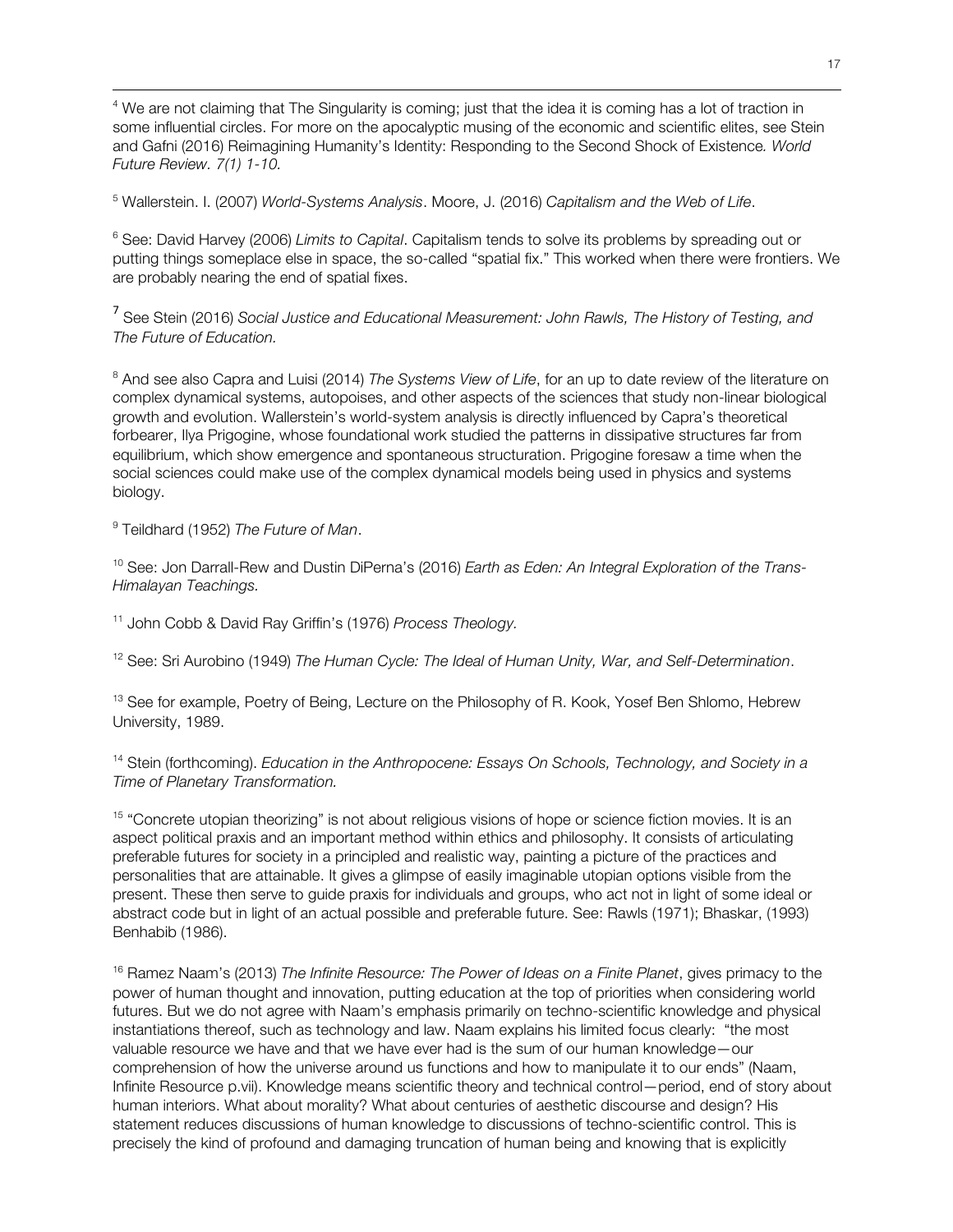<sup>4</sup> We are not claiming that The Singularity is coming; just that the idea it is coming has a lot of traction in some influential circles. For more on the apocalyptic musing of the economic and scientific elites, see Stein and Gafni (2016) Reimagining Humanity's Identity: Responding to the Second Shock of Existence*. World Future Review. 7(1) 1-10.*

<u> 1989 - Johann Stoff, fransk konger og den sammen og den større og den større og den som for de større og den</u>

<sup>5</sup> Wallerstein. I. (2007) *World-Systems Analysis*. Moore, J. (2016) *Capitalism and the Web of Life*.

<sup>6</sup> See: David Harvey (2006) *Limits to Capital*. Capitalism tends to solve its problems by spreading out or putting things someplace else in space, the so-called "spatial fix." This worked when there were frontiers. We are probably nearing the end of spatial fixes.

<sup>7</sup> See Stein (2016) *Social Justice and Educational Measurement: John Rawls, The History of Testing, and The Future of Education.*

<sup>8</sup> And see also Capra and Luisi (2014) *The Systems View of Life*, for an up to date review of the literature on complex dynamical systems, autopoises, and other aspects of the sciences that study non-linear biological growth and evolution. Wallerstein's world-system analysis is directly influenced by Capra's theoretical forbearer, Ilya Prigogine, whose foundational work studied the patterns in dissipative structures far from equilibrium, which show emergence and spontaneous structuration. Prigogine foresaw a time when the social sciences could make use of the complex dynamical models being used in physics and systems biology.

<sup>9</sup> Teildhard (1952) *The Future of Man*.

<sup>10</sup> See: Jon Darrall-Rew and Dustin DiPerna's (2016) *Earth as Eden: An Integral Exploration of the Trans-Himalayan Teachings.*

<sup>11</sup> John Cobb & David Ray Griffin's (1976) *Process Theology.*

<sup>12</sup> See: Sri Aurobino (1949) *The Human Cycle: The Ideal of Human Unity, War, and Self-Determination*.

<sup>13</sup> See for example, Poetry of Being, Lecture on the Philosophy of R. Kook, Yosef Ben Shlomo, Hebrew University, 1989.

<sup>14</sup> Stein (forthcoming). *Education in the Anthropocene: Essays On Schools, Technology, and Society in a Time of Planetary Transformation.*

<sup>15</sup> "Concrete utopian theorizing" is not about religious visions of hope or science fiction movies. It is an aspect political praxis and an important method within ethics and philosophy. It consists of articulating preferable futures for society in a principled and realistic way, painting a picture of the practices and personalities that are attainable. It gives a glimpse of easily imaginable utopian options visible from the present. These then serve to guide praxis for individuals and groups, who act not in light of some ideal or abstract code but in light of an actual possible and preferable future. See: Rawls (1971); Bhaskar, (1993) Benhabib (1986).

<sup>16</sup> Ramez Naam's (2013) *The Infinite Resource: The Power of Ideas on a Finite Planet*, gives primacy to the power of human thought and innovation, putting education at the top of priorities when considering world futures. But we do not agree with Naam's emphasis primarily on techno-scientific knowledge and physical instantiations thereof, such as technology and law. Naam explains his limited focus clearly: "the most valuable resource we have and that we have ever had is the sum of our human knowledge—our comprehension of how the universe around us functions and how to manipulate it to our ends" (Naam, Infinite Resource p.vii). Knowledge means scientific theory and technical control—period, end of story about human interiors. What about morality? What about centuries of aesthetic discourse and design? His statement reduces discussions of human knowledge to discussions of techno-scientific control. This is precisely the kind of profound and damaging truncation of human being and knowing that is explicitly